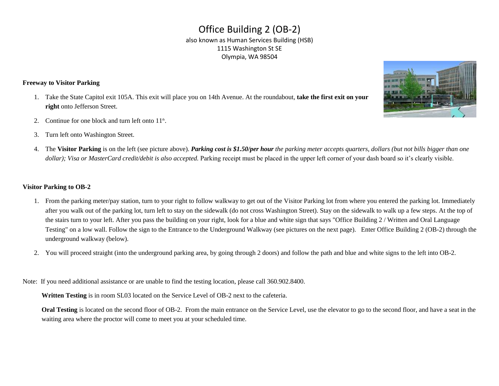## Office Building 2 (OB-2)<br>also known as Human Services Building (HSB) 1115 Washington St SE Olympia, WA 98504

## **Freeway to Visitor Parking**

- 1. Take the State Capitol exit 105A. This exit will place you on 14th Avenue. At the roundabout, **take the first exit on your right** onto Jefferson Street.
- 2. Continue for one block and turn left onto  $11<sup>th</sup>$ .
- 3. Turn left onto Washington Street.



4. The **Visitor Parking** is on the left (see picture above). *Parking cost is \$1.50/per hour the parking meter accepts quarters, dollars (but not bills bigger than one*  dollar); Visa or MasterCard credit/debit is also accepted. Parking receipt must be placed in the upper left corner of your dash board so it's clearly visible.

## **Visitor Parking to OB-2**

- 1. From the parking meter/pay station, turn to your right to follow walkway to get out of the Visitor Parking lot from where you entered the parking lot. Immediately after you walk out of the parking lot, turn left to stay on the sidewalk (do not cross Washington Street). Stay on the sidewalk to walk up a few steps. At the top of the stairs turn to your left. After you pass the building on your right, look for a blue and white sign that says "Office Building 2 / Written and Oral Language Testing" on a low wall. Follow the sign to the Entrance to the Underground Walkway (see pictures on the next page). Enter Office Building 2 (OB-2) through the underground walkway (below).
- 2. You will proceed straight (into the underground parking area, by going through 2 doors) and follow the path and blue and white signs to the left into OB-2.<br>Note: If you need additional assistance or are unable to find t

Note: If you need additional assistance or are unable to find the testing location, please call 360.902.8400.

**Written Testing** is in room SL03 located on the Service Level of OB-2 next to the cafeteria.

 **Oral Testing** is located on the second floor of OB-2. From the main entrance on the Service Level, use the elevator to go to the second floor, and have a seat in the waiting area where the proctor will come to meet you at your scheduled time.